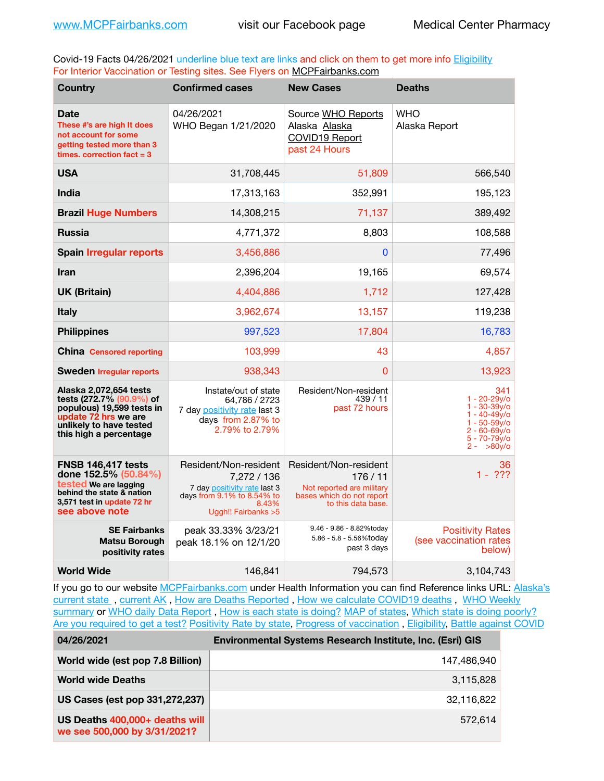Covid-19 Facts 04/26/2021 underline blue text are links and click on them to get more info **Eligibility** For Interior Vaccination or Testing sites. See Flyers on [MCPFairbanks.com](http://www.MCPFairbanks.com)

| <b>Country</b>                                                                                                                                               | <b>Confirmed cases</b>                                                                                                              | <b>New Cases</b>                                                                                                | <b>Deaths</b>                                                                                                                      |
|--------------------------------------------------------------------------------------------------------------------------------------------------------------|-------------------------------------------------------------------------------------------------------------------------------------|-----------------------------------------------------------------------------------------------------------------|------------------------------------------------------------------------------------------------------------------------------------|
| Date<br>These #'s are high It does<br>not account for some<br>getting tested more than 3<br>times, correction fact $= 3$                                     | 04/26/2021<br>WHO Began 1/21/2020                                                                                                   | Source WHO Reports<br>Alaska Alaska<br>COVID19 Report<br>past 24 Hours                                          | WHO<br>Alaska Report                                                                                                               |
| <b>USA</b>                                                                                                                                                   | 31,708,445                                                                                                                          | 51,809                                                                                                          | 566,540                                                                                                                            |
| India                                                                                                                                                        | 17,313,163                                                                                                                          | 352,991                                                                                                         | 195,123                                                                                                                            |
| <b>Brazil Huge Numbers</b>                                                                                                                                   | 14,308,215                                                                                                                          | 71,137                                                                                                          | 389,492                                                                                                                            |
| <b>Russia</b>                                                                                                                                                | 4,771,372                                                                                                                           | 8,803                                                                                                           | 108,588                                                                                                                            |
| <b>Spain Irregular reports</b>                                                                                                                               | 3,456,886                                                                                                                           | 0                                                                                                               | 77,496                                                                                                                             |
| <b>Iran</b>                                                                                                                                                  | 2,396,204                                                                                                                           | 19,165                                                                                                          | 69,574                                                                                                                             |
| <b>UK (Britain)</b>                                                                                                                                          | 4,404,886                                                                                                                           | 1,712                                                                                                           | 127,428                                                                                                                            |
| <b>Italy</b>                                                                                                                                                 | 3,962,674                                                                                                                           | 13,157                                                                                                          | 119,238                                                                                                                            |
| <b>Philippines</b>                                                                                                                                           | 997,523                                                                                                                             | 17,804                                                                                                          | 16,783                                                                                                                             |
| <b>China Censored reporting</b>                                                                                                                              | 103,999                                                                                                                             | 43                                                                                                              | 4,857                                                                                                                              |
| <b>Sweden Irregular reports</b>                                                                                                                              | 938,343                                                                                                                             | 0                                                                                                               | 13,923                                                                                                                             |
| Alaska 2,072,654 tests<br>tests (272.7% (90.9%) of<br>populous) 19,599 tests in<br>update 72 hrs we are<br>unlikely to have tested<br>this high a percentage | Instate/out of state<br>64.786 / 2723<br>7 day positivity rate last 3<br>days from 2.87% to<br>2.79% to 2.79%                       | Resident/Non-resident<br>439/11<br>past 72 hours                                                                | 341<br>$1 - 20 - 29v$<br>$1 - 30 - 39v$<br>$1 - 40 - 49v$<br>$1 - 50 - 59y$ o<br>$2 - 60 - 69$ y/o<br>5 - 70-79y/o<br>$2 - 80v$ /o |
| <b>FNSB 146,417 tests</b><br>done 152.5% (50.84%)<br>tested We are lagging<br>behind the state & nation<br>3,571 test in update 72 hr<br>see above note      | Resident/Non-resident<br>7,272 / 136<br>7 day positivity rate last 3<br>days from 9.1% to 8.54% to<br>8.43%<br>Uggh!! Fairbanks > 5 | Resident/Non-resident<br>176/11<br>Not reported are military<br>bases which do not report<br>to this data base. | 36<br>$1 - 222$                                                                                                                    |
| <b>SE Fairbanks</b><br><b>Matsu Borough</b><br>positivity rates                                                                                              | peak 33.33% 3/23/21<br>peak 18.1% on 12/1/20                                                                                        | 9.46 - 9.86 - 8.82%today<br>5.86 - 5.8 - 5.56%today<br>past 3 days                                              | <b>Positivity Rates</b><br>(see vaccination rates<br>below)                                                                        |
| <b>World Wide</b>                                                                                                                                            | 146.841                                                                                                                             | 794.573                                                                                                         | 3,104,743                                                                                                                          |

If you go to our website [MCPFairbanks.com](http://www.MCPFairbanks.com) under Health Information you can find Reference links URL: Alaska's current state, current AK, [How are Deaths Reported](http://dhss.alaska.gov/dph/Epi/id/Pages/COVID-19/deathcounts.aspx), [How we calculate COVID19 deaths](https://coronavirus-response-alaska-dhss.hub.arcgis.com/search?collection=Document&groupIds=41ccb3344ebc4bd682c74073eba21f42), WHO Weekly [summary](http://www.who.int) or [WHO daily Data Report](https://covid19.who.int/table), [How is each state is doing?](https://www.msn.com/en-us/news/us/state-by-state-coronavirus-news/ar-BB13E1PX?fbclid=IwAR0_OBJH7lSyTN3ug_MsOeFnNgB1orTa9OBgilKJ7dhnwlVvHEsptuKkj1c) [MAP of states,](https://www.nationalgeographic.com/science/graphics/graphic-tracking-coronavirus-infections-us?cmpid=org=ngp::mc=crm-email::src=ngp::cmp=editorial::add=SpecialEdition_20210305&rid=B9A6DF5992658E8E35CE023113CFEA4C) [Which state is doing poorly?](https://bestlifeonline.com/covid-outbreak-your-state/?utm_source=nsltr&utm_medium=email&utm_content=covid-outbreak-your-state&utm_campaign=launch) [Are you required to get a test?](http://dhss.alaska.gov/dph/Epi/id/SiteAssets/Pages/HumanCoV/Whattodoafteryourtest.pdf) [Positivity Rate by state](https://coronavirus.jhu.edu/testing/individual-states/alaska), Progress of vaccination, [Eligibility,](http://dhss.alaska.gov/dph/Epi/id/Pages/COVID-19/VaccineAvailability.aspx) [Battle against COVID](https://www.nationalgeographic.com/science/graphics/graphic-tracking-coronavirus-infections-us?cmpid=org=ngp::mc=crm-email::src=ngp::cmp=editorial::add=SpecialEdition_20210219&rid=B9A6DF5992658E8E35CE023113CFEA4C)

| 04/26/2021                                                     | Environmental Systems Research Institute, Inc. (Esri) GIS |
|----------------------------------------------------------------|-----------------------------------------------------------|
| World wide (est pop 7.8 Billion)                               | 147,486,940                                               |
| <b>World wide Deaths</b>                                       | 3,115,828                                                 |
| US Cases (est pop 331,272,237)                                 | 32,116,822                                                |
| US Deaths 400,000+ deaths will<br>we see 500,000 by 3/31/2021? | 572.614                                                   |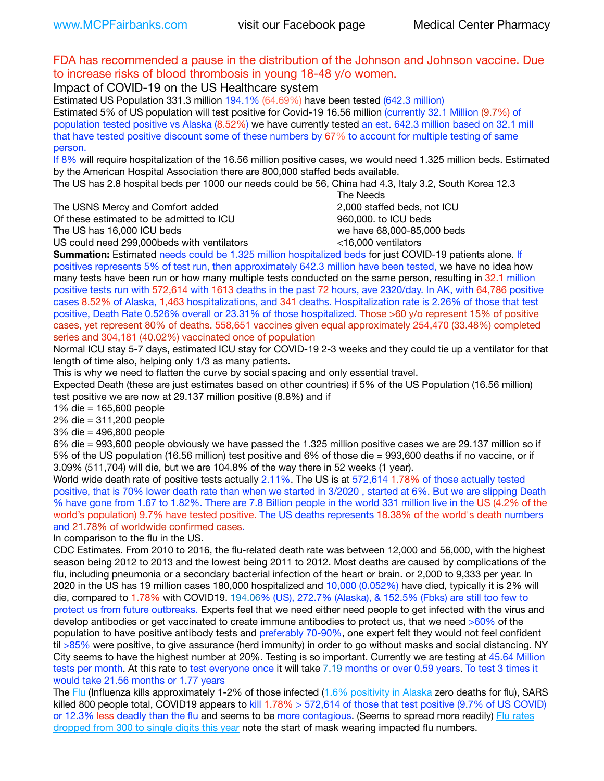### FDA has recommended a pause in the distribution of the Johnson and Johnson vaccine. Due to increase risks of blood thrombosis in young 18-48 y/o women.

Impact of COVID-19 on the US Healthcare system

Estimated US Population 331.3 million 194.1% (64.69%) have been tested (642.3 million) Estimated 5% of US population will test positive for Covid-19 16.56 million (currently 32.1 Million (9.7%) of population tested positive vs Alaska (8.52%) we have currently tested an est. 642.3 million based on 32.1 mill that have tested positive discount some of these numbers by 67% to account for multiple testing of same person.

If 8% will require hospitalization of the 16.56 million positive cases, we would need 1.325 million beds. Estimated by the American Hospital Association there are 800,000 staffed beds available.

The US has 2.8 hospital beds per 1000 our needs could be 56, China had 4.3, Italy 3.2, South Korea 12.3

The USNS Mercy and Comfort added 2,000 staffed beds, not ICU

Of these estimated to be admitted to ICU **860,000**, to ICU beds

 The Needs The US has 16,000 ICU beds we have 68,000-85,000 beds

US could need 299,000 beds with ventilators  $\leq$ 16,000 ventilators

**Summation:** Estimated needs could be 1.325 million hospitalized beds for just COVID-19 patients alone. If positives represents 5% of test run, then approximately 642.3 million have been tested, we have no idea how many tests have been run or how many multiple tests conducted on the same person, resulting in 32.1 million positive tests run with 572,614 with 1613 deaths in the past 72 hours, ave 2320/day. In AK, with 64,786 positive cases 8.52% of Alaska, 1,463 hospitalizations, and 341 deaths. Hospitalization rate is 2.26% of those that test positive, Death Rate 0.526% overall or 23.31% of those hospitalized. Those >60 y/o represent 15% of positive cases, yet represent 80% of deaths. 558,651 vaccines given equal approximately 254,470 (33.48%) completed series and 304,181 (40.02%) vaccinated once of population

Normal ICU stay 5-7 days, estimated ICU stay for COVID-19 2-3 weeks and they could tie up a ventilator for that length of time also, helping only 1/3 as many patients.

This is why we need to flatten the curve by social spacing and only essential travel.

Expected Death (these are just estimates based on other countries) if 5% of the US Population (16.56 million) test positive we are now at 29.137 million positive (8.8%) and if

1% die = 165,600 people

2% die = 311,200 people

3% die = 496,800 people

6% die = 993,600 people obviously we have passed the 1.325 million positive cases we are 29.137 million so if 5% of the US population (16.56 million) test positive and 6% of those die = 993,600 deaths if no vaccine, or if 3.09% (511,704) will die, but we are 104.8% of the way there in 52 weeks (1 year).

World wide death rate of positive tests actually 2.11%. The US is at 572,614 1.78% of those actually tested positive, that is 70% lower death rate than when we started in 3/2020 , started at 6%. But we are slipping Death % have gone from 1.67 to 1.82%. There are 7.8 Billion people in the world 331 million live in the US (4.2% of the world's population) 9.7% have tested positive. The US deaths represents 18.38% of the world's death numbers and 21.78% of worldwide confirmed cases.

In comparison to the flu in the US.

CDC Estimates. From 2010 to 2016, the flu-related death rate was between 12,000 and 56,000, with the highest season being 2012 to 2013 and the lowest being 2011 to 2012. Most deaths are caused by complications of the flu, including pneumonia or a secondary bacterial infection of the heart or brain. or 2,000 to 9,333 per year. In 2020 in the US has 19 million cases 180,000 hospitalized and 10,000 (0.052%) have died, typically it is 2% will die, compared to 1.78% with COVID19. 194.06% (US), 272.7% (Alaska), & 152.5% (Fbks) are still too few to protect us from future outbreaks. Experts feel that we need either need people to get infected with the virus and develop antibodies or get vaccinated to create immune antibodies to protect us, that we need >60% of the population to have positive antibody tests and preferably 70-90%, one expert felt they would not feel confident til >85% were positive, to give assurance (herd immunity) in order to go without masks and social distancing. NY City seems to have the highest number at 20%. Testing is so important. Currently we are testing at 45.64 Million tests per month. At this rate to test everyone once it will take 7.19 months or over 0.59 years. To test 3 times it would take 21.56 months or 1.77 years

The [Flu](https://lnks.gd/l/eyJhbGciOiJIUzI1NiJ9.eyJidWxsZXRpbl9saW5rX2lkIjoxMDMsInVyaSI6ImJwMjpjbGljayIsImJ1bGxldGluX2lkIjoiMjAyMTAyMjYuMzYwNDA3NTEiLCJ1cmwiOiJodHRwczovL3d3dy5jZGMuZ292L2ZsdS93ZWVrbHkvb3ZlcnZpZXcuaHRtIn0.ePMA_hsZ-pTnhWSyg1gHvHWYTu2XceVOt0JejxvP1WE/s/500544915/br/98428119752-l) (Influenza kills approximately 1-2% of those infected ([1.6% positivity in Alaska](http://dhss.alaska.gov/dph/Epi/id/SiteAssets/Pages/influenza/trends/Snapshot.pdf) zero deaths for flu), SARS killed 800 people total, COVID19 appears to kill 1.78% > 572,614 of those that test positive (9.7% of US COVID) or 12.3% less deadly than the flu and seems to be more contagious. (Seems to spread more readily) Flu rates [dropped from 300 to single digits this year](https://lnks.gd/l/eyJhbGciOiJIUzI1NiJ9.eyJidWxsZXRpbl9saW5rX2lkIjoxMDEsInVyaSI6ImJwMjpjbGljayIsImJ1bGxldGluX2lkIjoiMjAyMTAyMjYuMzYwNDA3NTEiLCJ1cmwiOiJodHRwOi8vZGhzcy5hbGFza2EuZ292L2RwaC9FcGkvaWQvUGFnZXMvaW5mbHVlbnphL2ZsdWluZm8uYXNweCJ9.oOe3nt2fww6XpsNhb4FZfmtPfPa-irGaldpkURBJhSo/s/500544915/br/98428119752-l) note the start of mask wearing impacted flu numbers.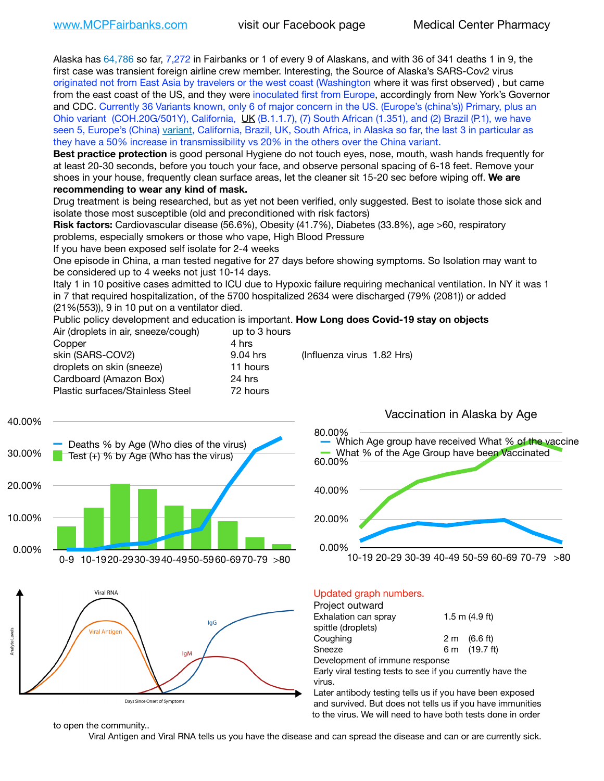Alaska has 64,786 so far, 7,272 in Fairbanks or 1 of every 9 of Alaskans, and with 36 of 341 deaths 1 in 9, the first case was transient foreign airline crew member. Interesting, the Source of Alaska's SARS-Cov2 virus originated not from East Asia by travelers or the west coast (Washington where it was first observed) , but came from the east coast of the US, and they were inoculated first from Europe, accordingly from New York's Governor and CDC. Currently 36 Variants known, only 6 of major concern in the US. (Europe's (china's)) Primary, plus an Ohio variant (COH.20G/501Y), California, [UK](https://www.cdc.gov/coronavirus/2019-ncov/transmission/variant-cases.html) (B.1.1.7), (7) South African (1.351), and (2) Brazil (P.1), we have seen 5, Europe's (China) [variant,](https://www.webmd.com/lung/news/20210318/cdc-who-create-threat-levels-for-covid-variants?ecd=wnl_cvd_031921&ctr=wnl-cvd-031921&mb=kYbf7DsHb7YGjh/1RUkcAW0T6iorImAU1TDZh18RYs0=_Support_titleLink_2) California, Brazil, UK, South Africa, in Alaska so far, the last 3 in particular as they have a 50% increase in transmissibility vs 20% in the others over the China variant.

**Best practice protection** is good personal Hygiene do not touch eyes, nose, mouth, wash hands frequently for at least 20-30 seconds, before you touch your face, and observe personal spacing of 6-18 feet. Remove your shoes in your house, frequently clean surface areas, let the cleaner sit 15-20 sec before wiping off. **We are recommending to wear any kind of mask.**

Drug treatment is being researched, but as yet not been verified, only suggested. Best to isolate those sick and isolate those most susceptible (old and preconditioned with risk factors)

**Risk factors:** Cardiovascular disease (56.6%), Obesity (41.7%), Diabetes (33.8%), age >60, respiratory problems, especially smokers or those who vape, High Blood Pressure

If you have been exposed self isolate for 2-4 weeks

One episode in China, a man tested negative for 27 days before showing symptoms. So Isolation may want to be considered up to 4 weeks not just 10-14 days.

Italy 1 in 10 positive cases admitted to ICU due to Hypoxic failure requiring mechanical ventilation. In NY it was 1 in 7 that required hospitalization, of the 5700 hospitalized 2634 were discharged (79% (2081)) or added (21%(553)), 9 in 10 put on a ventilator died.

Public policy development and education is important. **How Long does Covid-19 stay on objects**

| up to 3 hours |                            |
|---------------|----------------------------|
| 4 hrs         |                            |
| 9.04 hrs      | (Influenza virus 1.82 Hrs) |
| 11 hours      |                            |
| 24 hrs        |                            |
| 72 hours      |                            |
|               |                            |

0.00% 10.00% 20.00% 30.00% 40.00% 0-9 10-1920-2930-3940-4950-5960-6970-79 >80 Deaths % by Age (Who dies of the virus) Test  $(+)$  % by Age (Who has the virus)



0.00% 20.00% 40.00% 60.00% 80.00% 10-19 20-29 30-39 40-49 50-59 60-69 70-79 >80 Which Age group have received What % of the vaccine What % of the Age Group have been Vaccinated

Vaccination in Alaska by Age

### Updated graph numbers.

|                                | 1.5 m $(4.9$ ft)                                           |
|--------------------------------|------------------------------------------------------------|
|                                |                                                            |
|                                | $2 \text{ m}$ (6.6 ft)                                     |
|                                | 6 m (19.7 ft)                                              |
| Development of immune response |                                                            |
|                                | Early viral testing tests to see if you currently have the |
|                                |                                                            |
|                                |                                                            |

Later antibody testing tells us if you have been exposed and survived. But does not tells us if you have immunities to the virus. We will need to have both tests done in order

to open the community..

Viral Antigen and Viral RNA tells us you have the disease and can spread the disease and can or are currently sick.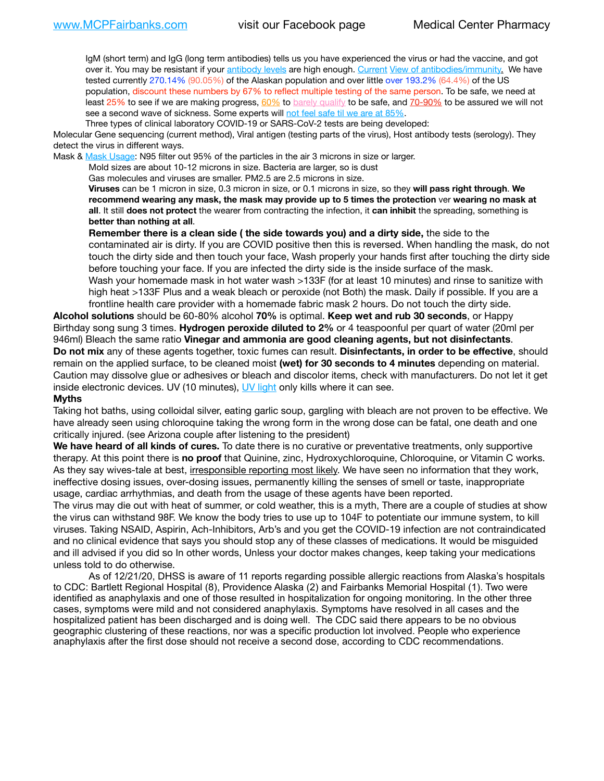IgM (short term) and IgG (long term antibodies) tells us you have experienced the virus or had the vaccine, and got over it. You may be resistant if your [antibody levels](https://www.cdc.gov/coronavirus/2019-ncov/lab/resources/antibody-tests.html) are high enough. [Current](https://l.facebook.com/l.php?u=https://www.itv.com/news/2020-10-26/covid-19-antibody-levels-reduce-over-time-study-finds?fbclid=IwAR3Dapzh1qIH1EIOdUQI2y8THf7jfA4KBCaJz8Qg-8xe1YsrR4nsAHDIXSY&h=AT30nut8pkqp0heVuz5W2rT2WFFm-2Ab52BsJxZZCNlGsX58IpPkuVEPULbIUV_M16MAukx1Kwb657DPXxsgDN1rpOQ4gqBtQsmVYiWpnHPJo2RQsU6CPMd14lgLnQnFWxfVi6zvmw&__tn__=-UK-R&c%5B0%5D=AT1GaRAfR_nGAyqcn7TI1-PpvqOqEKXHnz6TDWvRStMnOSH7boQDvTiwTOc6VId9UES6LKiOmm2m88wKCoolkJyOFvakt2Z1Mw8toYWGGoWW23r0MNVBl7cYJXB_UOvGklNHaNnaNr1_S7NhT3BSykNOBg) [View of antibodies/immunity](https://www.livescience.com/antibodies.html)[.](https://www.itv.com/news/2020-10-26/covid-19-antibody-levels-reduce-over-time-study-finds) We have tested currently 270.14% (90.05%) of the Alaskan population and over little over 193.2% (64.4%) of the US population, discount these numbers by 67% to reflect multiple testing of the same person. To be safe, we need at least 25% to see if we are making progress, [60%](https://www.jhsph.edu/covid-19/articles/achieving-herd-immunity-with-covid19.html) to [barely qualify](https://www.nature.com/articles/d41586-020-02948-4) to be safe, and [70-90%](https://www.mayoclinic.org/herd-immunity-and-coronavirus/art-20486808) to be assured we will not see a second wave of sickness. Some experts will [not feel safe til we are at 85%.](https://www.bannerhealth.com/healthcareblog/teach-me/what-is-herd-immunity)

Three types of clinical laboratory COVID-19 or SARS-CoV-2 tests are being developed:

Molecular Gene sequencing (current method), Viral antigen (testing parts of the virus), Host antibody tests (serology). They detect the virus in different ways.

Mask & [Mask Usage:](https://www.nationalgeographic.com/history/2020/03/how-cities-flattened-curve-1918-spanish-flu-pandemic-coronavirus/) N95 filter out 95% of the particles in the air 3 microns in size or larger.

Mold sizes are about 10-12 microns in size. Bacteria are larger, so is dust

Gas molecules and viruses are smaller. PM2.5 are 2.5 microns in size.

**Viruses** can be 1 micron in size, 0.3 micron in size, or 0.1 microns in size, so they **will pass right through**. **We recommend wearing any mask, the mask may provide up to 5 times the protection** ver **wearing no mask at all**. It still **does not protect** the wearer from contracting the infection, it **can inhibit** the spreading, something is **better than nothing at all**.

**Remember there is a clean side ( the side towards you) and a dirty side,** the side to the contaminated air is dirty. If you are COVID positive then this is reversed. When handling the mask, do not touch the dirty side and then touch your face, Wash properly your hands first after touching the dirty side before touching your face. If you are infected the dirty side is the inside surface of the mask. Wash your homemade mask in hot water wash >133F (for at least 10 minutes) and rinse to sanitize with high heat >133F Plus and a weak bleach or peroxide (not Both) the mask. Daily if possible. If you are a frontline health care provider with a homemade fabric mask 2 hours. Do not touch the dirty side.

**Alcohol solutions** should be 60-80% alcohol **70%** is optimal. **Keep wet and rub 30 seconds**, or Happy Birthday song sung 3 times. **Hydrogen peroxide diluted to 2%** or 4 teaspoonful per quart of water (20ml per 946ml) Bleach the same ratio **Vinegar and ammonia are good cleaning agents, but not disinfectants**. **Do not mix** any of these agents together, toxic fumes can result. **Disinfectants, in order to be effective**, should remain on the applied surface, to be cleaned moist **(wet) for 30 seconds to 4 minutes** depending on material. Caution may dissolve glue or adhesives or bleach and discolor items, check with manufacturers. Do not let it get inside electronic devices. UV (10 minutes), [UV light](http://www.docreviews.me/best-uv-boxes-2020/?fbclid=IwAR3bvFtXB48OoBBSvYvTEnKuHNPbipxM6jUo82QUSw9wckxjC7wwRZWabGw) only kills where it can see.

#### **Myths**

Taking hot baths, using colloidal silver, eating garlic soup, gargling with bleach are not proven to be effective. We have already seen using chloroquine taking the wrong form in the wrong dose can be fatal, one death and one critically injured. (see Arizona couple after listening to the president)

**We have heard of all kinds of cures.** To date there is no curative or preventative treatments, only supportive therapy. At this point there is **no proof** that Quinine, zinc, Hydroxychloroquine, Chloroquine, or Vitamin C works. As they say wives-tale at best, irresponsible reporting most likely. We have seen no information that they work, ineffective dosing issues, over-dosing issues, permanently killing the senses of smell or taste, inappropriate usage, cardiac arrhythmias, and death from the usage of these agents have been reported.

The virus may die out with heat of summer, or cold weather, this is a myth, There are a couple of studies at show the virus can withstand 98F. We know the body tries to use up to 104F to potentiate our immune system, to kill viruses. Taking NSAID, Aspirin, Ach-Inhibitors, Arb's and you get the COVID-19 infection are not contraindicated and no clinical evidence that says you should stop any of these classes of medications. It would be misguided and ill advised if you did so In other words, Unless your doctor makes changes, keep taking your medications unless told to do otherwise.

As of 12/21/20, DHSS is aware of 11 reports regarding possible allergic reactions from Alaska's hospitals to CDC: Bartlett Regional Hospital (8), Providence Alaska (2) and Fairbanks Memorial Hospital (1). Two were identified as anaphylaxis and one of those resulted in hospitalization for ongoing monitoring. In the other three cases, symptoms were mild and not considered anaphylaxis. Symptoms have resolved in all cases and the hospitalized patient has been discharged and is doing well. The CDC said there appears to be no obvious geographic clustering of these reactions, nor was a specific production lot involved. People who experience anaphylaxis after the first dose should not receive a second dose, according to CDC recommendations.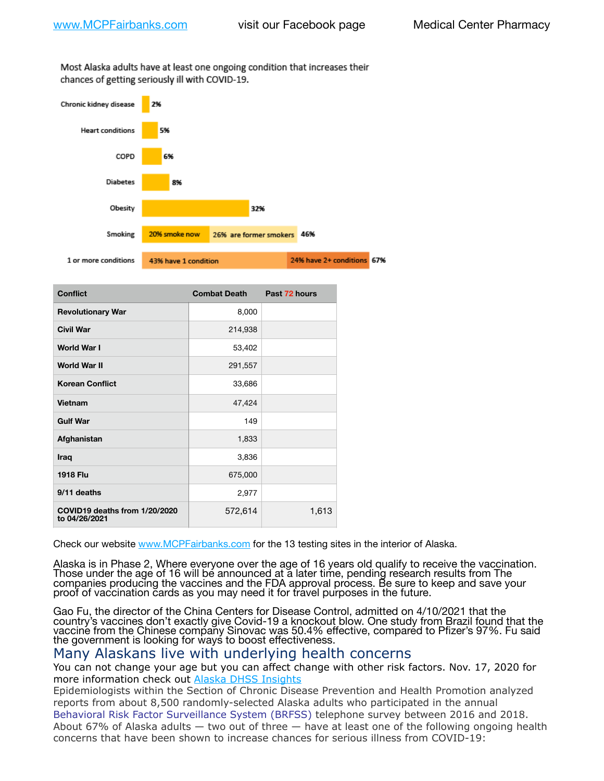Most Alaska adults have at least one ongoing condition that increases their chances of getting seriously ill with COVID-19.



| <b>Conflict</b>                                | <b>Combat Death</b> | Past 72 hours |
|------------------------------------------------|---------------------|---------------|
| <b>Revolutionary War</b>                       | 8,000               |               |
| <b>Civil War</b>                               | 214,938             |               |
| <b>World War I</b>                             | 53,402              |               |
| <b>World War II</b>                            | 291,557             |               |
| <b>Korean Conflict</b>                         | 33,686              |               |
| Vietnam                                        | 47,424              |               |
| <b>Gulf War</b>                                | 149                 |               |
| Afghanistan                                    | 1,833               |               |
| Iraq                                           | 3,836               |               |
| <b>1918 Flu</b>                                | 675,000             |               |
| 9/11 deaths                                    | 2,977               |               |
| COVID19 deaths from 1/20/2020<br>to 04/26/2021 | 572,614             | 1,613         |

Check our website [www.MCPFairbanks.com](http://www.MCPFairbanks.com) for the 13 testing sites in the interior of Alaska.

Alaska is in Phase 2, Where everyone over the age of 16 years old qualify to receive the vaccination. Those under the age of 16 will be announced at a later time, pending research results from The companies producing the vaccines and the FDA approval process. Be sure to keep and save your proof of vaccination cards as you may need it for travel purposes in the future.

Gao Fu, the director of the China Centers for Disease Control, admitted on 4/10/2021 that the country's vaccines don't exactly give Covid-19 a knockout blow. One study from Brazil found that the vaccine from the Chinese company Sinovac was 50.4% effective, compared to Pfizer's 97%. Fu said the government is looking for ways to boost effectiveness.

## Many Alaskans live with underlying health concerns

You can not change your age but you can affect change with other risk factors. Nov. 17, 2020 for more information check out [Alaska DHSS Insights](http://dhss.alaska.gov/dph/Epi/id/Pages/COVID-19/blog/20201117.aspx)

Epidemiologists within the Section of Chronic Disease Prevention and Health Promotion analyzed reports from about 8,500 randomly-selected Alaska adults who participated in the annual [Behavioral Risk Factor Surveillance System \(BRFSS\)](http://dhss.alaska.gov/dph/Chronic/Pages/brfss/default.aspx) telephone survey between 2016 and 2018. About 67% of Alaska adults — two out of three — have at least one of the following ongoing health concerns that have been shown to increase chances for serious illness from COVID-19: